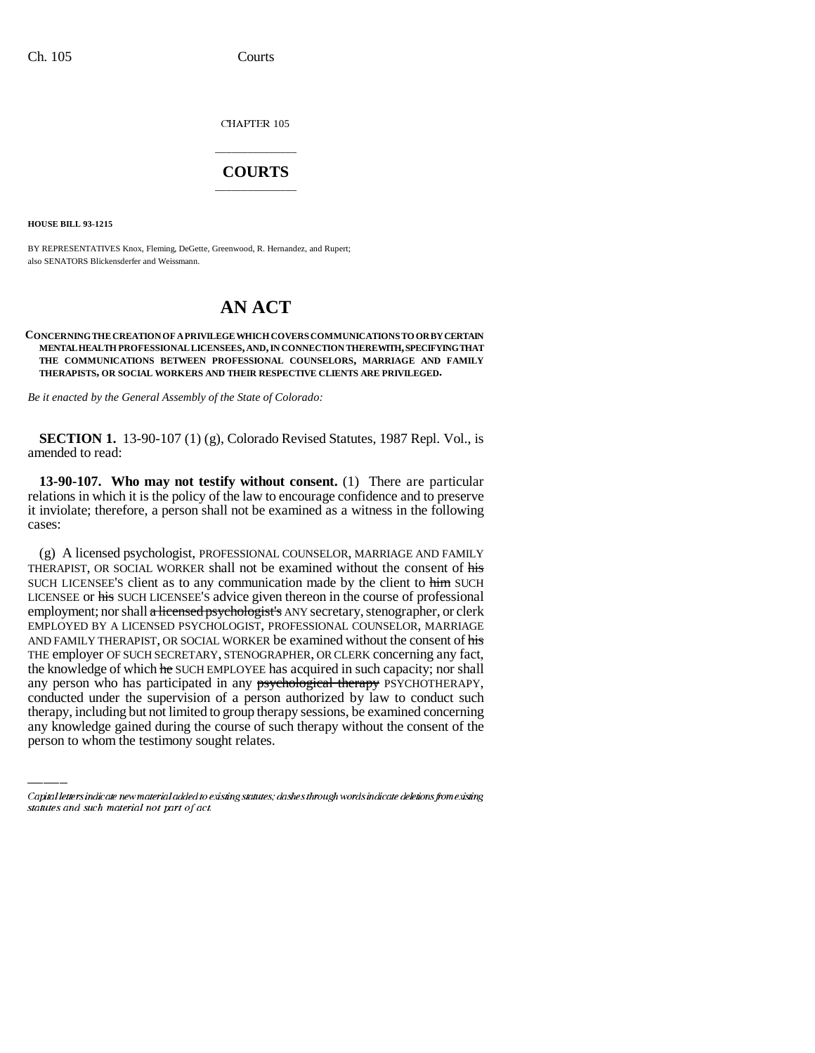CHAPTER 105

## \_\_\_\_\_\_\_\_\_\_\_\_\_\_\_ **COURTS** \_\_\_\_\_\_\_\_\_\_\_\_\_\_\_

**HOUSE BILL 93-1215**

BY REPRESENTATIVES Knox, Fleming, DeGette, Greenwood, R. Hernandez, and Rupert; also SENATORS Blickensderfer and Weissmann.

## **AN ACT**

## **CONCERNING THE CREATION OF A PRIVILEGE WHICH COVERS COMMUNICATIONS TO OR BY CERTAIN MENTAL HEALTH PROFESSIONAL LICENSEES, AND, IN CONNECTION THEREWITH, SPECIFYING THAT THE COMMUNICATIONS BETWEEN PROFESSIONAL COUNSELORS, MARRIAGE AND FAMILY THERAPISTS, OR SOCIAL WORKERS AND THEIR RESPECTIVE CLIENTS ARE PRIVILEGED.**

*Be it enacted by the General Assembly of the State of Colorado:*

**SECTION 1.** 13-90-107 (1) (g), Colorado Revised Statutes, 1987 Repl. Vol., is amended to read:

**13-90-107. Who may not testify without consent.** (1) There are particular relations in which it is the policy of the law to encourage confidence and to preserve it inviolate; therefore, a person shall not be examined as a witness in the following cases:

any person who has participated in any psychological therapy PSYCHOTHERAPY, (g) A licensed psychologist, PROFESSIONAL COUNSELOR, MARRIAGE AND FAMILY THERAPIST, OR SOCIAL WORKER shall not be examined without the consent of his SUCH LICENSEE'S client as to any communication made by the client to him SUCH LICENSEE or his SUCH LICENSEE'S advice given thereon in the course of professional employment; nor shall a licensed psychologist's ANY secretary, stenographer, or clerk EMPLOYED BY A LICENSED PSYCHOLOGIST, PROFESSIONAL COUNSELOR, MARRIAGE AND FAMILY THERAPIST, OR SOCIAL WORKER be examined without the consent of his THE employer OF SUCH SECRETARY, STENOGRAPHER, OR CLERK concerning any fact, the knowledge of which he SUCH EMPLOYEE has acquired in such capacity; nor shall conducted under the supervision of a person authorized by law to conduct such therapy, including but not limited to group therapy sessions, be examined concerning any knowledge gained during the course of such therapy without the consent of the person to whom the testimony sought relates.

Capital letters indicate new material added to existing statutes; dashes through words indicate deletions from existing statutes and such material not part of act.